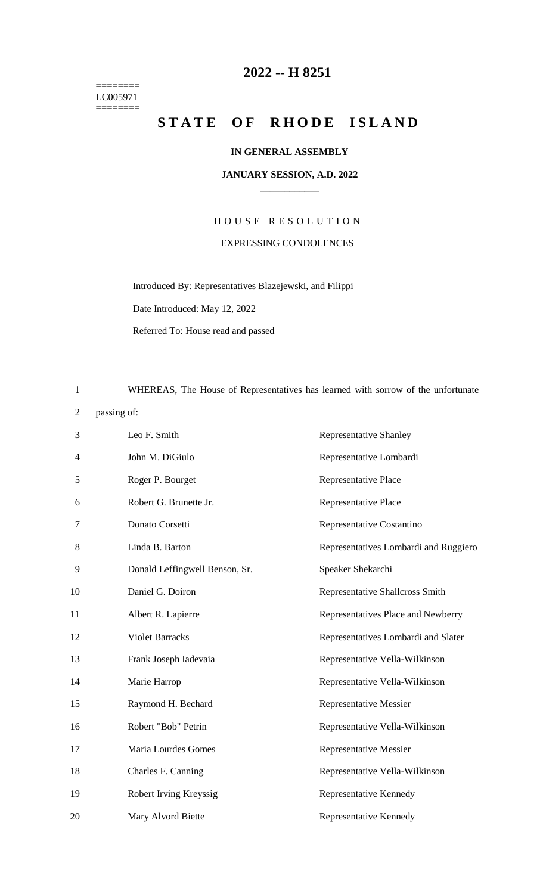======== LC005971  $=$ 

## **-- H 8251**

## STATE OF RHODE ISLAND

## **IN GENERAL ASSEMBLY**

## **JANUARY SESSION, A.D. 2022 \_\_\_\_\_\_\_\_\_\_\_\_**

H O U S E R E S O L U T I O N EXPRESSING CONDOLENCES

Introduced By: Representatives Blazejewski, and Filippi

Date Introduced: May 12, 2022

Referred To: House read and passed

WHEREAS, The House of Representatives has learned with sorrow of the unfortunate

passing of:

| 3  | Leo F. Smith                   | <b>Representative Shanley</b>         |
|----|--------------------------------|---------------------------------------|
| 4  | John M. DiGiulo                | Representative Lombardi               |
| 5  | Roger P. Bourget               | Representative Place                  |
| 6  | Robert G. Brunette Jr.         | Representative Place                  |
| 7  | Donato Corsetti                | Representative Costantino             |
| 8  | Linda B. Barton                | Representatives Lombardi and Ruggiero |
| 9  | Donald Leffingwell Benson, Sr. | Speaker Shekarchi                     |
| 10 | Daniel G. Doiron               | Representative Shallcross Smith       |
| 11 | Albert R. Lapierre             | Representatives Place and Newberry    |
| 12 | <b>Violet Barracks</b>         | Representatives Lombardi and Slater   |
| 13 | Frank Joseph Iadevaia          | Representative Vella-Wilkinson        |
| 14 | Marie Harrop                   | Representative Vella-Wilkinson        |
| 15 | Raymond H. Bechard             | <b>Representative Messier</b>         |
| 16 | Robert "Bob" Petrin            | Representative Vella-Wilkinson        |
| 17 | Maria Lourdes Gomes            | <b>Representative Messier</b>         |
| 18 | Charles F. Canning             | Representative Vella-Wilkinson        |
| 19 | Robert Irving Kreyssig         | Representative Kennedy                |
| 20 | Mary Alvord Biette             | Representative Kennedy                |